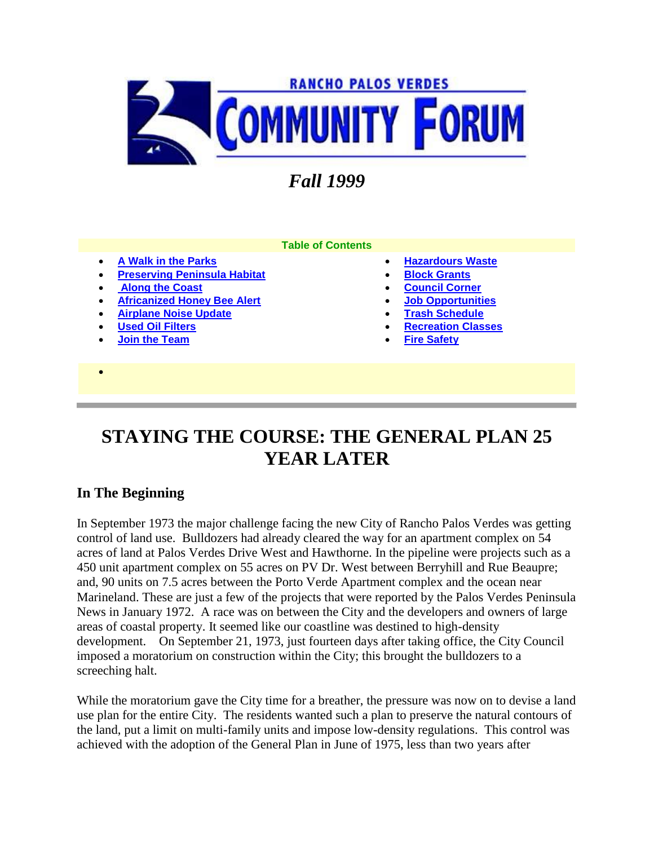

# *Fall 1999*

- **[A Walk in the Parks](http://www.palosverdes.com/rpv/news/newsletters/1999/1999spring/index.cfm#A%20WALK%20IN%20THE%20PARKS)**
- **[Preserving Peninsula Habitat](http://www.palosverdes.com/rpv/news/newsletters/1999/1999spring/index.cfm#PRESERVING%20PENINSULA)**
- **[Along the Coast](http://www.palosverdes.com/rpv/news/newsletters/1999/1999spring/index.cfm#WHAT%27S%20HAPPENING%20ALONG%20THE%20COAST?)**
- **[Africanized Honey Bee Alert](http://www.palosverdes.com/rpv/news/newsletters/1999/1999spring/index.cfm#AFRICANIZED)**
- **[Airplane Noise Update](http://www.palosverdes.com/rpv/news/newsletters/1999/1999spring/index.cfm#Airplane%20Noise%20Update)**
- **[Used Oil Filters](http://www.palosverdes.com/rpv/news/newsletters/1999/1999spring/index.cfm#USED%20OIL%20FILTERS)**
- **[Join the Team](http://www.palosverdes.com/rpv/news/newsletters/1999/1999spring/index.cfm#JOIN%20THE)**
- $\bullet$
- **Table of Contents**
- **[Hazardours Waste](http://www.palosverdes.com/rpv/news/newsletters/1999/1999spring/index.cfm#HAZARDOUS)**
- **[Block Grants](http://www.palosverdes.com/rpv/news/newsletters/1999/1999spring/index.cfm#BLOCK%20GRANT%20PROGRAM)**
- **[Council Corner](http://www.palosverdes.com/rpv/news/newsletters/1999/1999spring/index.cfm#COUNCIL)**
- **[Job Opportunities](http://www.palosverdes.com/rpv/news/newsletters/1999/1999spring/index.cfm#JOB)**
- **[Trash Schedule](http://www.palosverdes.com/rpv/news/newsletters/1999/1999spring/index.cfm#TRASH)**
- **[Recreation Classes](http://www.palosverdes.com/rpv/news/newsletters/1999/1999spring/index.cfm#RECREATION)**
- **[Fire Safety](http://www.palosverdes.com/rpv/news/newsletters/1999/1999spring/index.cfm#FIRE)**

# **STAYING THE COURSE: THE GENERAL PLAN 25 YEAR LATER**

### **In The Beginning**

In September 1973 the major challenge facing the new City of Rancho Palos Verdes was getting control of land use. Bulldozers had already cleared the way for an apartment complex on 54 acres of land at Palos Verdes Drive West and Hawthorne. In the pipeline were projects such as a 450 unit apartment complex on 55 acres on PV Dr. West between Berryhill and Rue Beaupre; and, 90 units on 7.5 acres between the Porto Verde Apartment complex and the ocean near Marineland. These are just a few of the projects that were reported by the Palos Verdes Peninsula News in January 1972. A race was on between the City and the developers and owners of large areas of coastal property. It seemed like our coastline was destined to high-density development. On September 21, 1973, just fourteen days after taking office, the City Council imposed a moratorium on construction within the City; this brought the bulldozers to a screeching halt.

While the moratorium gave the City time for a breather, the pressure was now on to devise a land use plan for the entire City. The residents wanted such a plan to preserve the natural contours of the land, put a limit on multi-family units and impose low-density regulations. This control was achieved with the adoption of the General Plan in June of 1975, less than two years after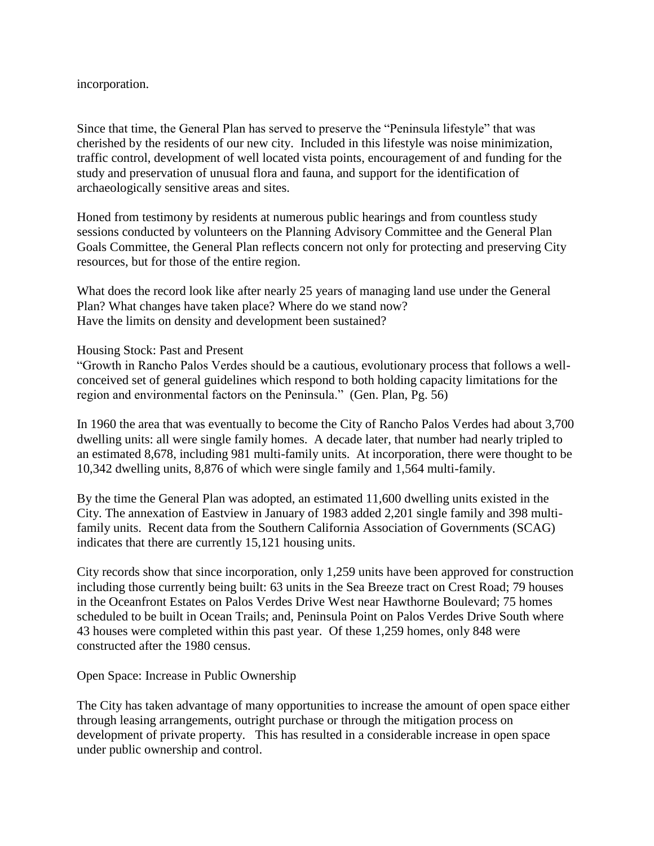#### incorporation.

Since that time, the General Plan has served to preserve the "Peninsula lifestyle" that was cherished by the residents of our new city. Included in this lifestyle was noise minimization, traffic control, development of well located vista points, encouragement of and funding for the study and preservation of unusual flora and fauna, and support for the identification of archaeologically sensitive areas and sites.

Honed from testimony by residents at numerous public hearings and from countless study sessions conducted by volunteers on the Planning Advisory Committee and the General Plan Goals Committee, the General Plan reflects concern not only for protecting and preserving City resources, but for those of the entire region.

What does the record look like after nearly 25 years of managing land use under the General Plan? What changes have taken place? Where do we stand now? Have the limits on density and development been sustained?

#### Housing Stock: Past and Present

"Growth in Rancho Palos Verdes should be a cautious, evolutionary process that follows a wellconceived set of general guidelines which respond to both holding capacity limitations for the region and environmental factors on the Peninsula." (Gen. Plan, Pg. 56)

In 1960 the area that was eventually to become the City of Rancho Palos Verdes had about 3,700 dwelling units: all were single family homes. A decade later, that number had nearly tripled to an estimated 8,678, including 981 multi-family units. At incorporation, there were thought to be 10,342 dwelling units, 8,876 of which were single family and 1,564 multi-family.

By the time the General Plan was adopted, an estimated 11,600 dwelling units existed in the City. The annexation of Eastview in January of 1983 added 2,201 single family and 398 multifamily units. Recent data from the Southern California Association of Governments (SCAG) indicates that there are currently 15,121 housing units.

City records show that since incorporation, only 1,259 units have been approved for construction including those currently being built: 63 units in the Sea Breeze tract on Crest Road; 79 houses in the Oceanfront Estates on Palos Verdes Drive West near Hawthorne Boulevard; 75 homes scheduled to be built in Ocean Trails; and, Peninsula Point on Palos Verdes Drive South where 43 houses were completed within this past year. Of these 1,259 homes, only 848 were constructed after the 1980 census.

Open Space: Increase in Public Ownership

The City has taken advantage of many opportunities to increase the amount of open space either through leasing arrangements, outright purchase or through the mitigation process on development of private property. This has resulted in a considerable increase in open space under public ownership and control.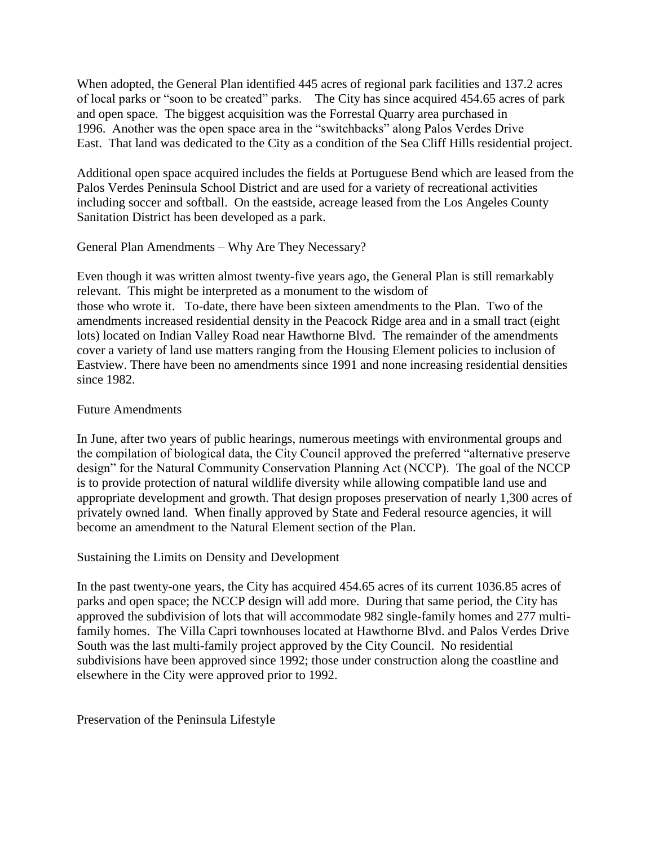When adopted, the General Plan identified 445 acres of regional park facilities and 137.2 acres of local parks or "soon to be created" parks. The City has since acquired 454.65 acres of park and open space. The biggest acquisition was the Forrestal Quarry area purchased in 1996. Another was the open space area in the "switchbacks" along Palos Verdes Drive East. That land was dedicated to the City as a condition of the Sea Cliff Hills residential project.

Additional open space acquired includes the fields at Portuguese Bend which are leased from the Palos Verdes Peninsula School District and are used for a variety of recreational activities including soccer and softball. On the eastside, acreage leased from the Los Angeles County Sanitation District has been developed as a park.

General Plan Amendments – Why Are They Necessary?

Even though it was written almost twenty-five years ago, the General Plan is still remarkably relevant. This might be interpreted as a monument to the wisdom of those who wrote it. To-date, there have been sixteen amendments to the Plan. Two of the amendments increased residential density in the Peacock Ridge area and in a small tract (eight lots) located on Indian Valley Road near Hawthorne Blvd. The remainder of the amendments cover a variety of land use matters ranging from the Housing Element policies to inclusion of Eastview. There have been no amendments since 1991 and none increasing residential densities since 1982.

#### Future Amendments

In June, after two years of public hearings, numerous meetings with environmental groups and the compilation of biological data, the City Council approved the preferred "alternative preserve design" for the Natural Community Conservation Planning Act (NCCP). The goal of the NCCP is to provide protection of natural wildlife diversity while allowing compatible land use and appropriate development and growth. That design proposes preservation of nearly 1,300 acres of privately owned land. When finally approved by State and Federal resource agencies, it will become an amendment to the Natural Element section of the Plan.

Sustaining the Limits on Density and Development

In the past twenty-one years, the City has acquired 454.65 acres of its current 1036.85 acres of parks and open space; the NCCP design will add more. During that same period, the City has approved the subdivision of lots that will accommodate 982 single-family homes and 277 multifamily homes. The Villa Capri townhouses located at Hawthorne Blvd. and Palos Verdes Drive South was the last multi-family project approved by the City Council. No residential subdivisions have been approved since 1992; those under construction along the coastline and elsewhere in the City were approved prior to 1992.

Preservation of the Peninsula Lifestyle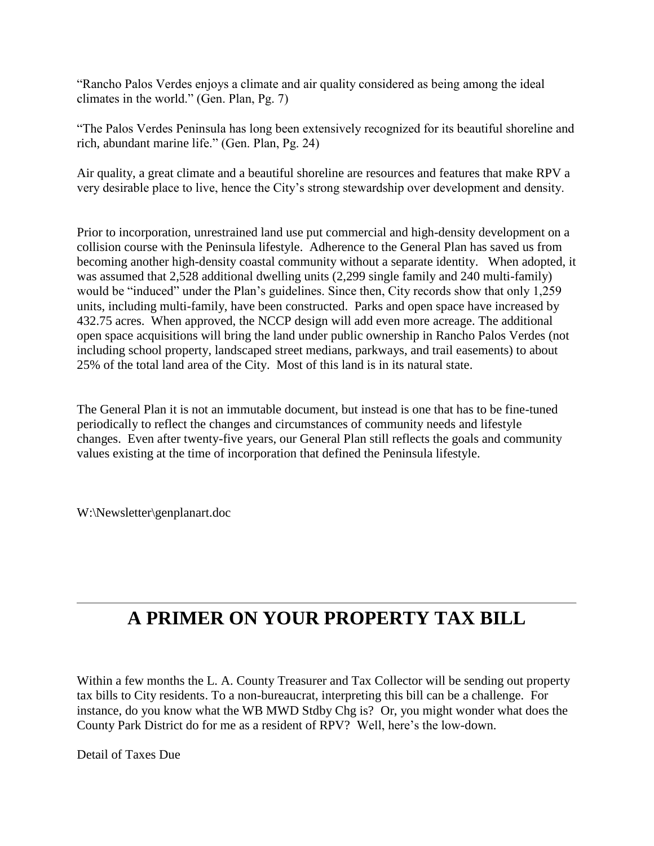"Rancho Palos Verdes enjoys a climate and air quality considered as being among the ideal climates in the world." (Gen. Plan, Pg. 7)

"The Palos Verdes Peninsula has long been extensively recognized for its beautiful shoreline and rich, abundant marine life." (Gen. Plan, Pg. 24)

Air quality, a great climate and a beautiful shoreline are resources and features that make RPV a very desirable place to live, hence the City's strong stewardship over development and density.

Prior to incorporation, unrestrained land use put commercial and high-density development on a collision course with the Peninsula lifestyle. Adherence to the General Plan has saved us from becoming another high-density coastal community without a separate identity. When adopted, it was assumed that 2,528 additional dwelling units (2,299 single family and 240 multi-family) would be "induced" under the Plan's guidelines. Since then, City records show that only 1,259 units, including multi-family, have been constructed. Parks and open space have increased by 432.75 acres. When approved, the NCCP design will add even more acreage. The additional open space acquisitions will bring the land under public ownership in Rancho Palos Verdes (not including school property, landscaped street medians, parkways, and trail easements) to about 25% of the total land area of the City. Most of this land is in its natural state.

The General Plan it is not an immutable document, but instead is one that has to be fine-tuned periodically to reflect the changes and circumstances of community needs and lifestyle changes. Even after twenty-five years, our General Plan still reflects the goals and community values existing at the time of incorporation that defined the Peninsula lifestyle.

W:\Newsletter\genplanart.doc

# **A PRIMER ON YOUR PROPERTY TAX BILL**

Within a few months the L. A. County Treasurer and Tax Collector will be sending out property tax bills to City residents. To a non-bureaucrat, interpreting this bill can be a challenge. For instance, do you know what the WB MWD Stdby Chg is? Or, you might wonder what does the County Park District do for me as a resident of RPV? Well, here's the low-down.

Detail of Taxes Due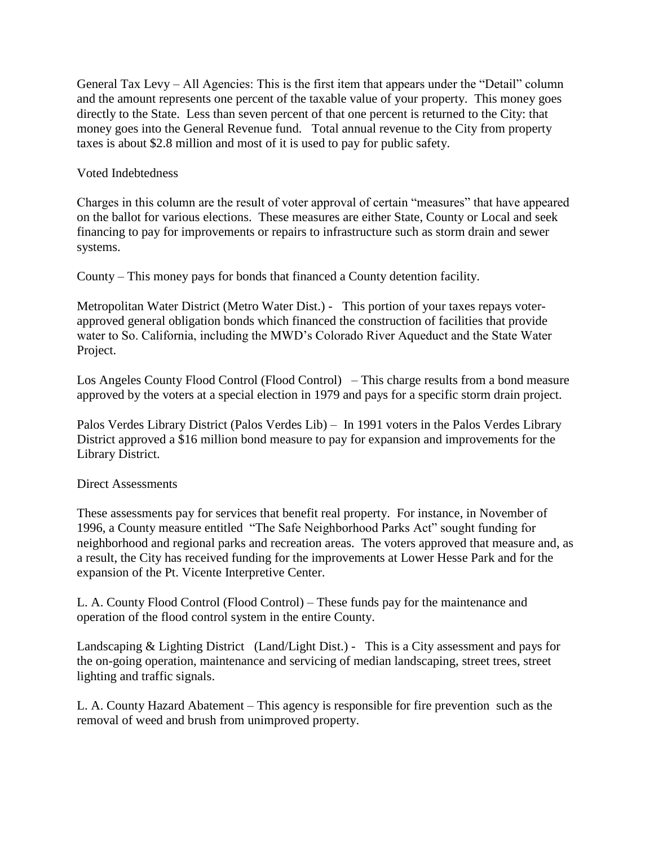General Tax Levy – All Agencies: This is the first item that appears under the "Detail" column and the amount represents one percent of the taxable value of your property. This money goes directly to the State. Less than seven percent of that one percent is returned to the City: that money goes into the General Revenue fund. Total annual revenue to the City from property taxes is about \$2.8 million and most of it is used to pay for public safety.

Voted Indebtedness

Charges in this column are the result of voter approval of certain "measures" that have appeared on the ballot for various elections. These measures are either State, County or Local and seek financing to pay for improvements or repairs to infrastructure such as storm drain and sewer systems.

County – This money pays for bonds that financed a County detention facility.

Metropolitan Water District (Metro Water Dist.) - This portion of your taxes repays voterapproved general obligation bonds which financed the construction of facilities that provide water to So. California, including the MWD's Colorado River Aqueduct and the State Water Project.

Los Angeles County Flood Control (Flood Control) – This charge results from a bond measure approved by the voters at a special election in 1979 and pays for a specific storm drain project.

Palos Verdes Library District (Palos Verdes Lib) – In 1991 voters in the Palos Verdes Library District approved a \$16 million bond measure to pay for expansion and improvements for the Library District.

#### Direct Assessments

These assessments pay for services that benefit real property. For instance, in November of 1996, a County measure entitled "The Safe Neighborhood Parks Act" sought funding for neighborhood and regional parks and recreation areas. The voters approved that measure and, as a result, the City has received funding for the improvements at Lower Hesse Park and for the expansion of the Pt. Vicente Interpretive Center.

L. A. County Flood Control (Flood Control) – These funds pay for the maintenance and operation of the flood control system in the entire County.

Landscaping & Lighting District (Land/Light Dist.) - This is a City assessment and pays for the on-going operation, maintenance and servicing of median landscaping, street trees, street lighting and traffic signals.

L. A. County Hazard Abatement – This agency is responsible for fire prevention such as the removal of weed and brush from unimproved property.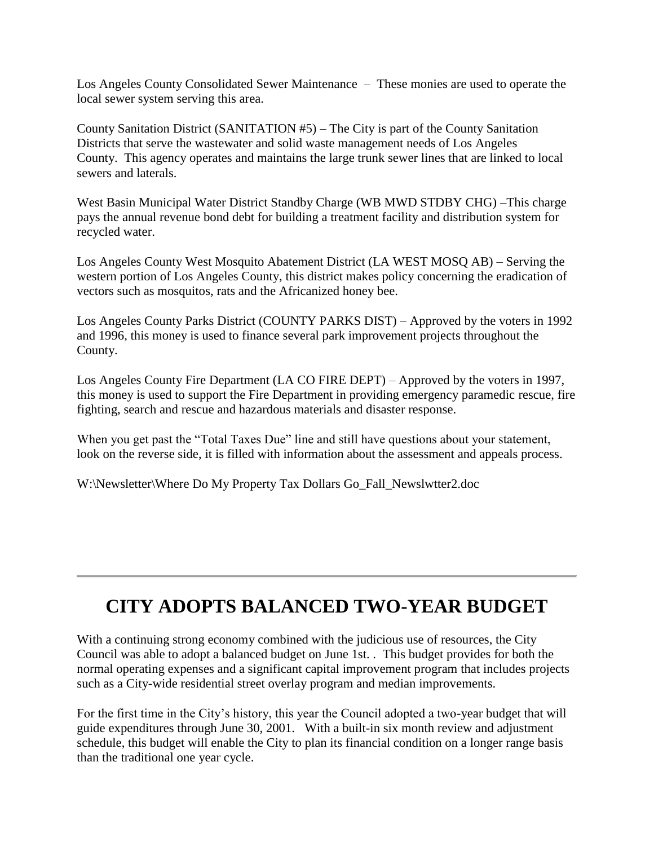Los Angeles County Consolidated Sewer Maintenance – These monies are used to operate the local sewer system serving this area.

County Sanitation District (SANITATION #5) – The City is part of the County Sanitation Districts that serve the wastewater and solid waste management needs of Los Angeles County. This agency operates and maintains the large trunk sewer lines that are linked to local sewers and laterals.

West Basin Municipal Water District Standby Charge (WB MWD STDBY CHG) –This charge pays the annual revenue bond debt for building a treatment facility and distribution system for recycled water.

Los Angeles County West Mosquito Abatement District (LA WEST MOSQ AB) – Serving the western portion of Los Angeles County, this district makes policy concerning the eradication of vectors such as mosquitos, rats and the Africanized honey bee.

Los Angeles County Parks District (COUNTY PARKS DIST) – Approved by the voters in 1992 and 1996, this money is used to finance several park improvement projects throughout the County.

Los Angeles County Fire Department (LA CO FIRE DEPT) – Approved by the voters in 1997, this money is used to support the Fire Department in providing emergency paramedic rescue, fire fighting, search and rescue and hazardous materials and disaster response.

When you get past the "Total Taxes Due" line and still have questions about your statement, look on the reverse side, it is filled with information about the assessment and appeals process.

W:\Newsletter\Where Do My Property Tax Dollars Go\_Fall\_Newslwtter2.doc

# **CITY ADOPTS BALANCED TWO-YEAR BUDGET**

With a continuing strong economy combined with the judicious use of resources, the City Council was able to adopt a balanced budget on June 1st. . This budget provides for both the normal operating expenses and a significant capital improvement program that includes projects such as a City-wide residential street overlay program and median improvements.

For the first time in the City's history, this year the Council adopted a two-year budget that will guide expenditures through June 30, 2001. With a built-in six month review and adjustment schedule, this budget will enable the City to plan its financial condition on a longer range basis than the traditional one year cycle.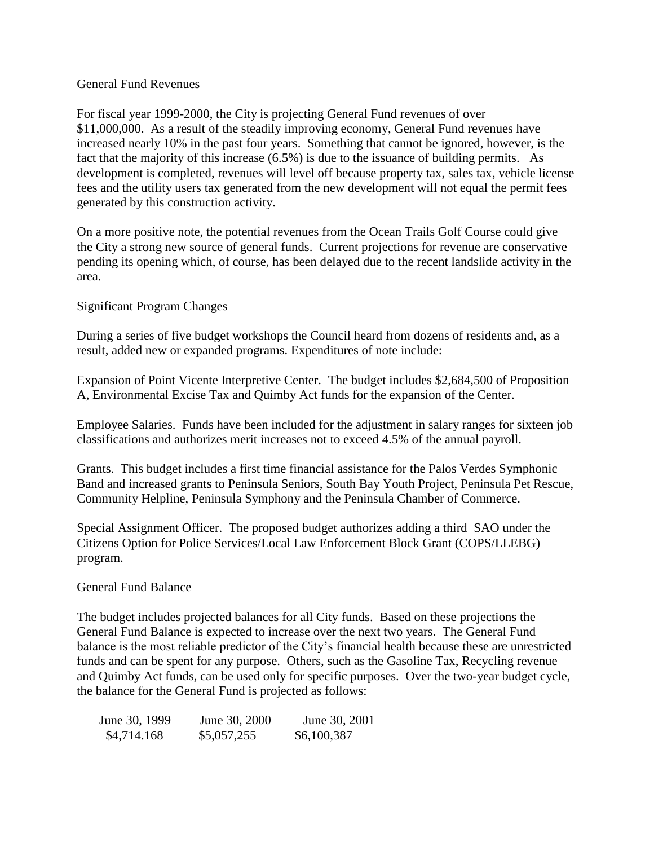#### General Fund Revenues

For fiscal year 1999-2000, the City is projecting General Fund revenues of over \$11,000,000. As a result of the steadily improving economy, General Fund revenues have increased nearly 10% in the past four years. Something that cannot be ignored, however, is the fact that the majority of this increase (6.5%) is due to the issuance of building permits. As development is completed, revenues will level off because property tax, sales tax, vehicle license fees and the utility users tax generated from the new development will not equal the permit fees generated by this construction activity.

On a more positive note, the potential revenues from the Ocean Trails Golf Course could give the City a strong new source of general funds. Current projections for revenue are conservative pending its opening which, of course, has been delayed due to the recent landslide activity in the area.

#### Significant Program Changes

During a series of five budget workshops the Council heard from dozens of residents and, as a result, added new or expanded programs. Expenditures of note include:

Expansion of Point Vicente Interpretive Center. The budget includes \$2,684,500 of Proposition A, Environmental Excise Tax and Quimby Act funds for the expansion of the Center.

Employee Salaries. Funds have been included for the adjustment in salary ranges for sixteen job classifications and authorizes merit increases not to exceed 4.5% of the annual payroll.

Grants. This budget includes a first time financial assistance for the Palos Verdes Symphonic Band and increased grants to Peninsula Seniors, South Bay Youth Project, Peninsula Pet Rescue, Community Helpline, Peninsula Symphony and the Peninsula Chamber of Commerce.

Special Assignment Officer. The proposed budget authorizes adding a third SAO under the Citizens Option for Police Services/Local Law Enforcement Block Grant (COPS/LLEBG) program.

#### General Fund Balance

The budget includes projected balances for all City funds. Based on these projections the General Fund Balance is expected to increase over the next two years. The General Fund balance is the most reliable predictor of the City's financial health because these are unrestricted funds and can be spent for any purpose. Others, such as the Gasoline Tax, Recycling revenue and Quimby Act funds, can be used only for specific purposes. Over the two-year budget cycle, the balance for the General Fund is projected as follows:

| June 30, 1999 | June 30, 2000 | June 30, 2001 |
|---------------|---------------|---------------|
| \$4,714.168   | \$5,057,255   | \$6,100,387   |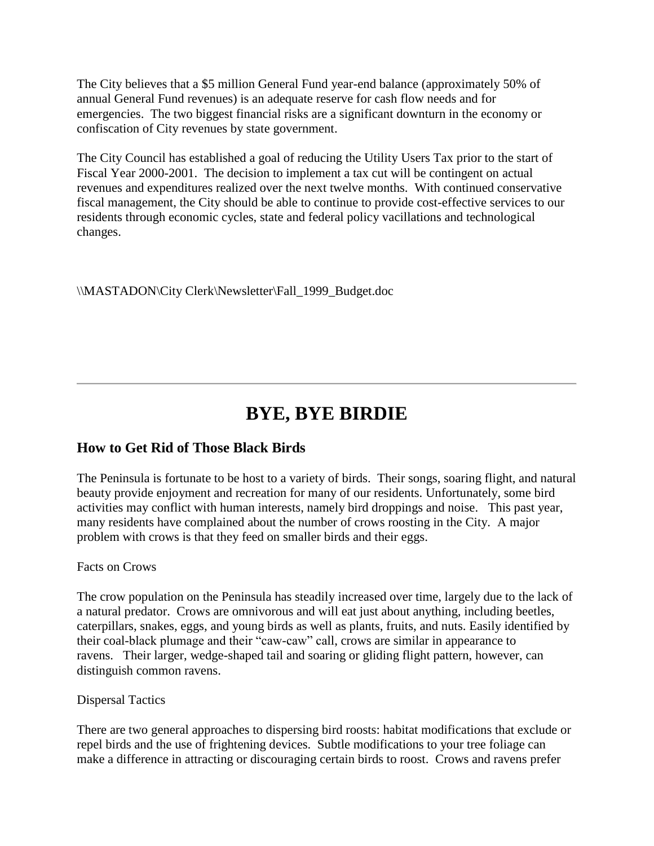The City believes that a \$5 million General Fund year-end balance (approximately 50% of annual General Fund revenues) is an adequate reserve for cash flow needs and for emergencies. The two biggest financial risks are a significant downturn in the economy or confiscation of City revenues by state government.

The City Council has established a goal of reducing the Utility Users Tax prior to the start of Fiscal Year 2000-2001. The decision to implement a tax cut will be contingent on actual revenues and expenditures realized over the next twelve months. With continued conservative fiscal management, the City should be able to continue to provide cost-effective services to our residents through economic cycles, state and federal policy vacillations and technological changes.

\\MASTADON\City Clerk\Newsletter\Fall\_1999\_Budget.doc

# **BYE, BYE BIRDIE**

### **How to Get Rid of Those Black Birds**

The Peninsula is fortunate to be host to a variety of birds. Their songs, soaring flight, and natural beauty provide enjoyment and recreation for many of our residents. Unfortunately, some bird activities may conflict with human interests, namely bird droppings and noise. This past year, many residents have complained about the number of crows roosting in the City. A major problem with crows is that they feed on smaller birds and their eggs.

### Facts on Crows

The crow population on the Peninsula has steadily increased over time, largely due to the lack of a natural predator. Crows are omnivorous and will eat just about anything, including beetles, caterpillars, snakes, eggs, and young birds as well as plants, fruits, and nuts. Easily identified by their coal-black plumage and their "caw-caw" call, crows are similar in appearance to ravens. Their larger, wedge-shaped tail and soaring or gliding flight pattern, however, can distinguish common ravens.

### Dispersal Tactics

There are two general approaches to dispersing bird roosts: habitat modifications that exclude or repel birds and the use of frightening devices. Subtle modifications to your tree foliage can make a difference in attracting or discouraging certain birds to roost. Crows and ravens prefer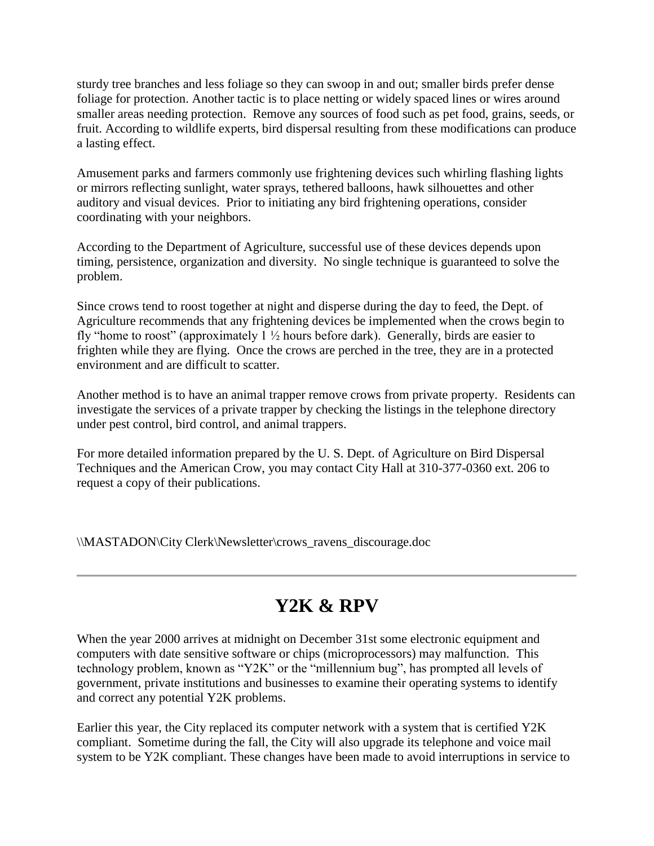sturdy tree branches and less foliage so they can swoop in and out; smaller birds prefer dense foliage for protection. Another tactic is to place netting or widely spaced lines or wires around smaller areas needing protection. Remove any sources of food such as pet food, grains, seeds, or fruit. According to wildlife experts, bird dispersal resulting from these modifications can produce a lasting effect.

Amusement parks and farmers commonly use frightening devices such whirling flashing lights or mirrors reflecting sunlight, water sprays, tethered balloons, hawk silhouettes and other auditory and visual devices. Prior to initiating any bird frightening operations, consider coordinating with your neighbors.

According to the Department of Agriculture, successful use of these devices depends upon timing, persistence, organization and diversity. No single technique is guaranteed to solve the problem.

Since crows tend to roost together at night and disperse during the day to feed, the Dept. of Agriculture recommends that any frightening devices be implemented when the crows begin to fly "home to roost" (approximately  $1\frac{1}{2}$  hours before dark). Generally, birds are easier to frighten while they are flying. Once the crows are perched in the tree, they are in a protected environment and are difficult to scatter.

Another method is to have an animal trapper remove crows from private property. Residents can investigate the services of a private trapper by checking the listings in the telephone directory under pest control, bird control, and animal trappers.

For more detailed information prepared by the U. S. Dept. of Agriculture on Bird Dispersal Techniques and the American Crow, you may contact City Hall at 310-377-0360 ext. 206 to request a copy of their publications.

\\MASTADON\City Clerk\Newsletter\crows\_ravens\_discourage.doc

# **Y2K & RPV**

When the year 2000 arrives at midnight on December 31st some electronic equipment and computers with date sensitive software or chips (microprocessors) may malfunction. This technology problem, known as "Y2K" or the "millennium bug", has prompted all levels of government, private institutions and businesses to examine their operating systems to identify and correct any potential Y2K problems.

Earlier this year, the City replaced its computer network with a system that is certified Y2K compliant. Sometime during the fall, the City will also upgrade its telephone and voice mail system to be Y2K compliant. These changes have been made to avoid interruptions in service to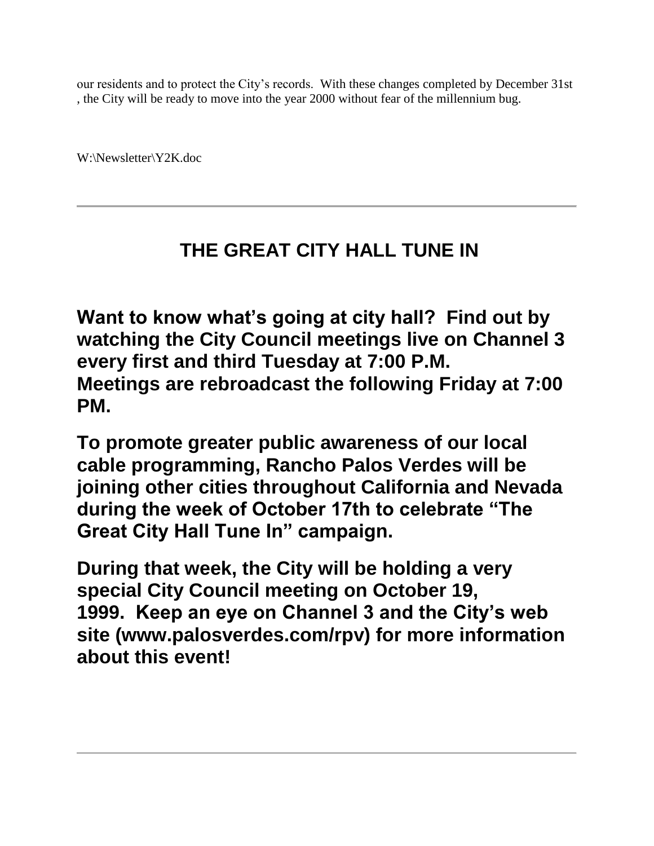our residents and to protect the City's records. With these changes completed by December 31st , the City will be ready to move into the year 2000 without fear of the millennium bug.

W:\Newsletter\Y2K.doc

# **THE GREAT CITY HALL TUNE IN**

**Want to know what's going at city hall? Find out by watching the City Council meetings live on Channel 3 every first and third Tuesday at 7:00 P.M. Meetings are rebroadcast the following Friday at 7:00 PM.**

**To promote greater public awareness of our local cable programming, Rancho Palos Verdes will be joining other cities throughout California and Nevada during the week of October 17th to celebrate "The Great City Hall Tune In" campaign.**

**During that week, the City will be holding a very special City Council meeting on October 19, 1999. Keep an eye on Channel 3 and the City's web site (www.palosverdes.com/rpv) for more information about this event!**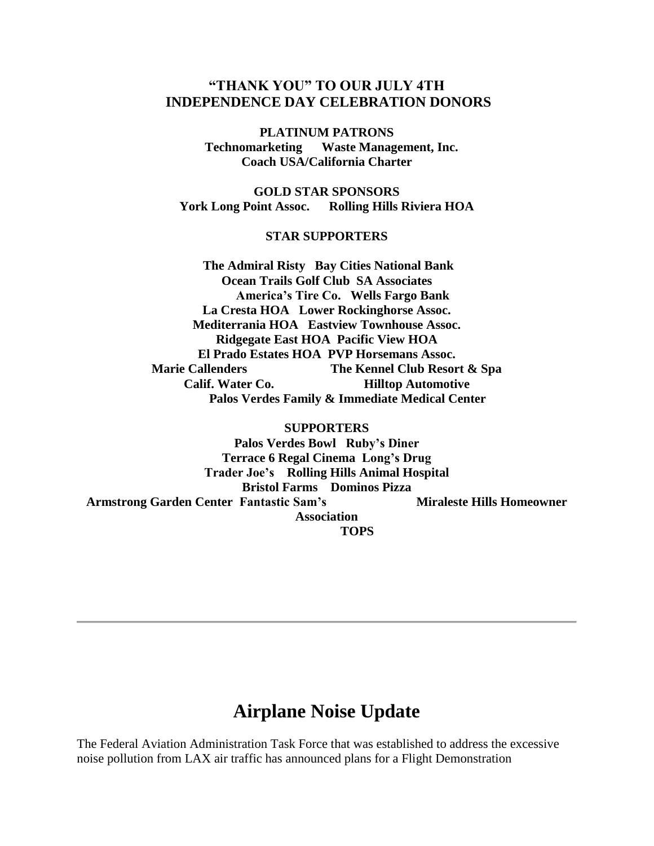### **"THANK YOU" TO OUR JULY 4TH INDEPENDENCE DAY CELEBRATION DONORS**

**PLATINUM PATRONS Technomarketing Waste Management, Inc. Coach USA/California Charter**

**GOLD STAR SPONSORS York Long Point Assoc. Rolling Hills Riviera HOA**

#### **STAR SUPPORTERS**

**The Admiral Risty Bay Cities National Bank Ocean Trails Golf Club SA Associates America's Tire Co. Wells Fargo Bank La Cresta HOA Lower Rockinghorse Assoc. Mediterrania HOA Eastview Townhouse Assoc. Ridgegate East HOA Pacific View HOA El Prado Estates HOA PVP Horsemans Assoc. Marie Callenders The Kennel Club Resort & Spa Calif. Water Co. Hilltop Automotive Palos Verdes Family & Immediate Medical Center**

**SUPPORTERS Palos Verdes Bowl Ruby's Diner Terrace 6 Regal Cinema Long's Drug Trader Joe's Rolling Hills Animal Hospital Bristol Farms Dominos Pizza Armstrong Garden Center Fantastic Sam's Miraleste Hills Homeowner Association TOPS**

## **Airplane Noise Update**

The Federal Aviation Administration Task Force that was established to address the excessive noise pollution from LAX air traffic has announced plans for a Flight Demonstration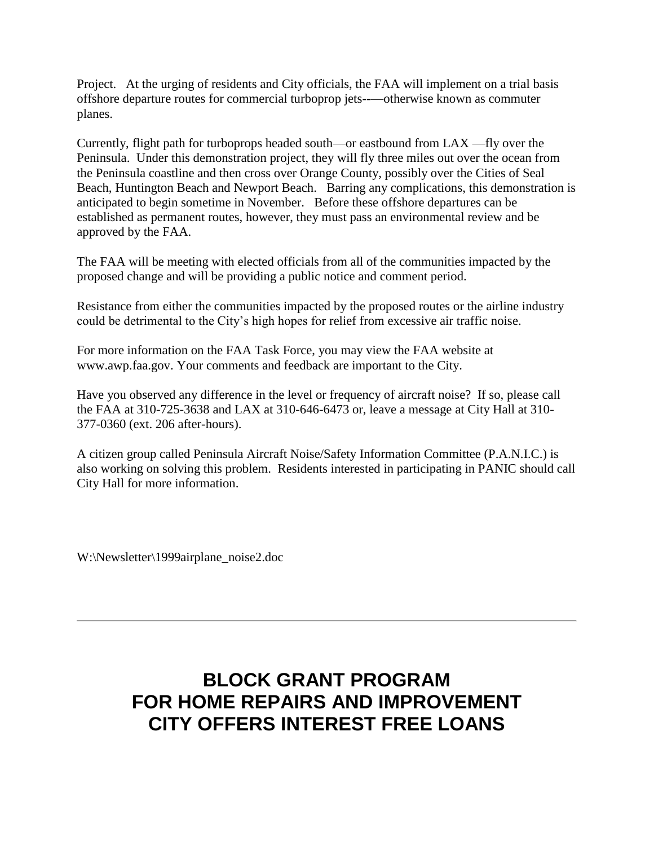Project. At the urging of residents and City officials, the FAA will implement on a trial basis offshore departure routes for commercial turboprop jets--—otherwise known as commuter planes.

Currently, flight path for turboprops headed south—or eastbound from LAX —fly over the Peninsula. Under this demonstration project, they will fly three miles out over the ocean from the Peninsula coastline and then cross over Orange County, possibly over the Cities of Seal Beach, Huntington Beach and Newport Beach. Barring any complications, this demonstration is anticipated to begin sometime in November. Before these offshore departures can be established as permanent routes, however, they must pass an environmental review and be approved by the FAA.

The FAA will be meeting with elected officials from all of the communities impacted by the proposed change and will be providing a public notice and comment period.

Resistance from either the communities impacted by the proposed routes or the airline industry could be detrimental to the City's high hopes for relief from excessive air traffic noise.

For more information on the FAA Task Force, you may view the FAA website at www.awp.faa.gov. Your comments and feedback are important to the City.

Have you observed any difference in the level or frequency of aircraft noise? If so, please call the FAA at 310-725-3638 and LAX at 310-646-6473 or, leave a message at City Hall at 310- 377-0360 (ext. 206 after-hours).

A citizen group called Peninsula Aircraft Noise/Safety Information Committee (P.A.N.I.C.) is also working on solving this problem. Residents interested in participating in PANIC should call City Hall for more information.

W:\Newsletter\1999airplane\_noise2.doc

# **BLOCK GRANT PROGRAM FOR HOME REPAIRS AND IMPROVEMENT CITY OFFERS INTEREST FREE LOANS**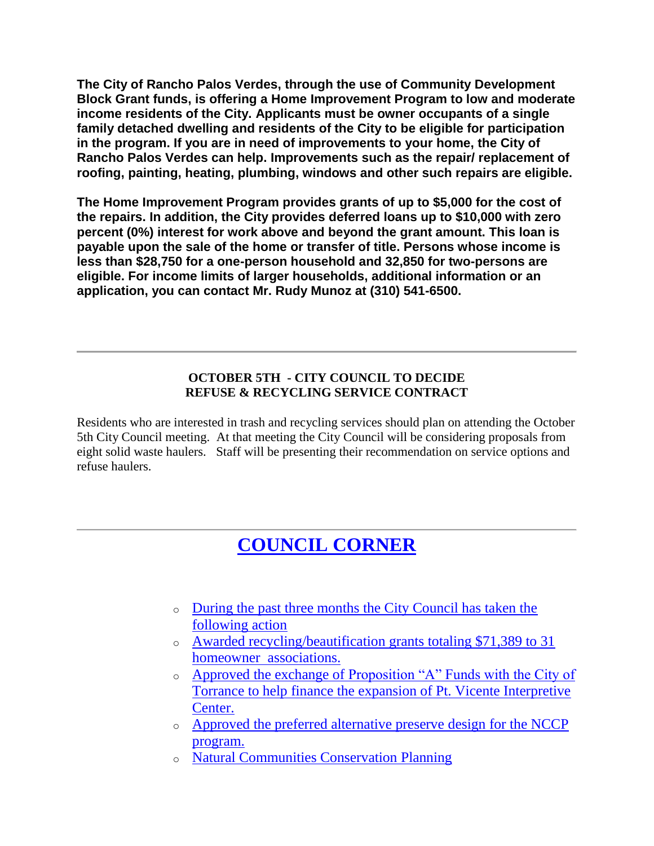**The City of Rancho Palos Verdes, through the use of Community Development Block Grant funds, is offering a Home Improvement Program to low and moderate income residents of the City. Applicants must be owner occupants of a single family detached dwelling and residents of the City to be eligible for participation in the program. If you are in need of improvements to your home, the City of Rancho Palos Verdes can help. Improvements such as the repair/ replacement of roofing, painting, heating, plumbing, windows and other such repairs are eligible.**

**The Home Improvement Program provides grants of up to \$5,000 for the cost of the repairs. In addition, the City provides deferred loans up to \$10,000 with zero percent (0%) interest for work above and beyond the grant amount. This loan is payable upon the sale of the home or transfer of title. Persons whose income is less than \$28,750 for a one-person household and 32,850 for two-persons are eligible. For income limits of larger households, additional information or an application, you can contact Mr. Rudy Munoz at (310) 541-6500.**

### **OCTOBER 5TH - CITY COUNCIL TO DECIDE REFUSE & RECYCLING SERVICE CONTRACT**

Residents who are interested in trash and recycling services should plan on attending the October 5th City Council meeting. At that meeting the City Council will be considering proposals from eight solid waste haulers. Staff will be presenting their recommendation on service options and refuse haulers.

# **[COUNCIL CORNER](http://www.palosverdes.com/rpv/news/newsletters/1999/1999spring/index.cfm#top)**

- o [During the past three months the City Council has taken the](http://www.palosverdes.com/rpv/news/newsletters/1999/1999spring/index.cfm#top)  [following action](http://www.palosverdes.com/rpv/news/newsletters/1999/1999spring/index.cfm#top)
- o [Awarded recycling/beautification grants totaling \\$71,389 to 31](http://www.palosverdes.com/rpv/news/newsletters/1999/1999spring/index.cfm#top)  homeowner [associations.](http://www.palosverdes.com/rpv/news/newsletters/1999/1999spring/index.cfm#top)
- o [Approved the exchange of Proposition "A" Funds with the City of](http://www.palosverdes.com/rpv/news/newsletters/1999/1999spring/index.cfm#top)  [Torrance to help finance the expansion of Pt. Vicente Interpretive](http://www.palosverdes.com/rpv/news/newsletters/1999/1999spring/index.cfm#top)  [Center.](http://www.palosverdes.com/rpv/news/newsletters/1999/1999spring/index.cfm#top)
- o [Approved the preferred alternative preserve](http://www.palosverdes.com/rpv/news/newsletters/1999/1999spring/index.cfm#top) design for the NCCP [program.](http://www.palosverdes.com/rpv/news/newsletters/1999/1999spring/index.cfm#top)
- o [Natural Communities Conservation Planning](http://www.palosverdes.com/rpv/news/newsletters/1999/1999spring/index.cfm#top)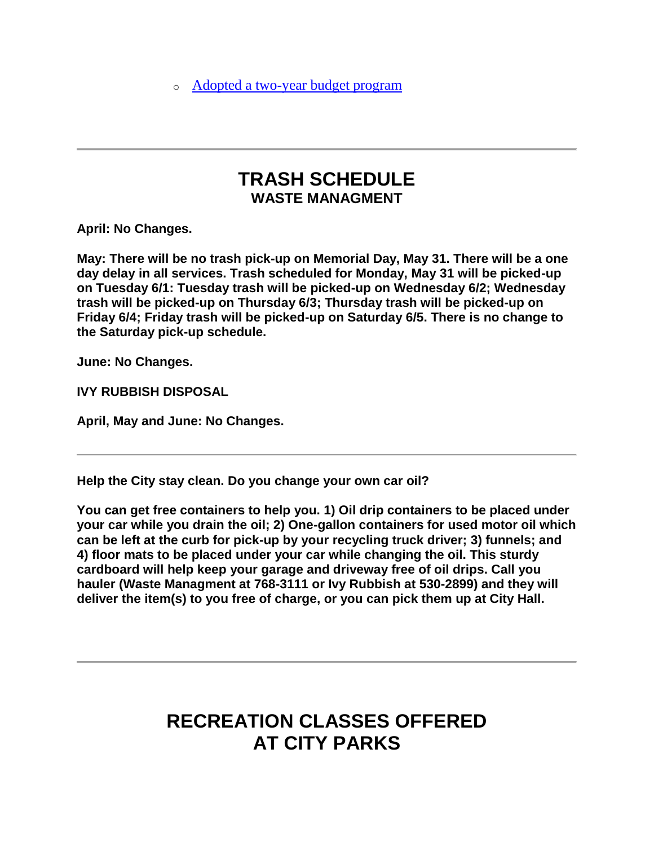o [Adopted a two-year budget program](http://www.palosverdes.com/rpv/news/newsletters/1999/1999spring/index.cfm#top)

## **TRASH SCHEDULE WASTE MANAGMENT**

**April: No Changes.**

**May: There will be no trash pick-up on Memorial Day, May 31. There will be a one day delay in all services. Trash scheduled for Monday, May 31 will be picked-up on Tuesday 6/1: Tuesday trash will be picked-up on Wednesday 6/2; Wednesday trash will be picked-up on Thursday 6/3; Thursday trash will be picked-up on Friday 6/4; Friday trash will be picked-up on Saturday 6/5. There is no change to the Saturday pick-up schedule.**

**June: No Changes.**

**IVY RUBBISH DISPOSAL**

**April, May and June: No Changes.**

**Help the City stay clean. Do you change your own car oil?**

**You can get free containers to help you. 1) Oil drip containers to be placed under your car while you drain the oil; 2) One-gallon containers for used motor oil which can be left at the curb for pick-up by your recycling truck driver; 3) funnels; and 4) floor mats to be placed under your car while changing the oil. This sturdy cardboard will help keep your garage and driveway free of oil drips. Call you hauler (Waste Managment at 768-3111 or Ivy Rubbish at 530-2899) and they will deliver the item(s) to you free of charge, or you can pick them up at City Hall.**

# **RECREATION CLASSES OFFERED AT CITY PARKS**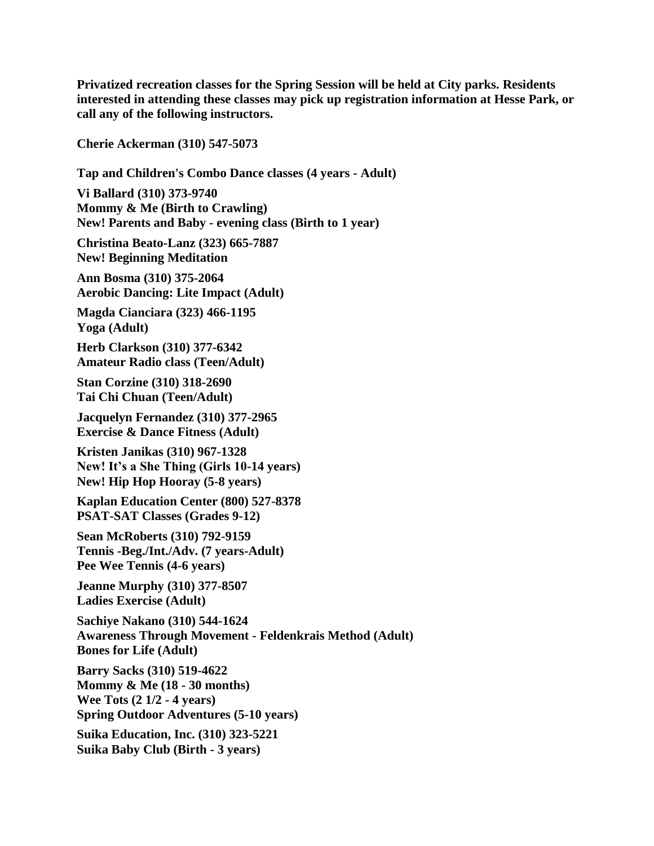**Privatized recreation classes for the Spring Session will be held at City parks. Residents interested in attending these classes may pick up registration information at Hesse Park, or call any of the following instructors.**

**Cherie Ackerman (310) 547-5073**

**Tap and Children's Combo Dance classes (4 years - Adult)**

**Vi Ballard (310) 373-9740 Mommy & Me (Birth to Crawling) New! Parents and Baby - evening class (Birth to 1 year)**

**Christina Beato-Lanz (323) 665-7887 New! Beginning Meditation**

**Ann Bosma (310) 375-2064 Aerobic Dancing: Lite Impact (Adult)**

**Magda Cianciara (323) 466-1195 Yoga (Adult)**

**Herb Clarkson (310) 377-6342 Amateur Radio class (Teen/Adult)**

**Stan Corzine (310) 318-2690 Tai Chi Chuan (Teen/Adult)**

**Jacquelyn Fernandez (310) 377-2965 Exercise & Dance Fitness (Adult)**

**Kristen Janikas (310) 967-1328 New! It's a She Thing (Girls 10-14 years) New! Hip Hop Hooray (5-8 years)**

**Kaplan Education Center (800) 527-8378 PSAT-SAT Classes (Grades 9-12)**

**Sean McRoberts (310) 792-9159 Tennis -Beg./Int./Adv. (7 years-Adult) Pee Wee Tennis (4-6 years)**

**Jeanne Murphy (310) 377-8507 Ladies Exercise (Adult)**

**Sachiye Nakano (310) 544-1624 Awareness Through Movement - Feldenkrais Method (Adult) Bones for Life (Adult)**

**Barry Sacks (310) 519-4622 Mommy & Me (18 - 30 months) Wee Tots (2 1/2 - 4 years) Spring Outdoor Adventures (5-10 years)**

**Suika Education, Inc. (310) 323-5221 Suika Baby Club (Birth - 3 years)**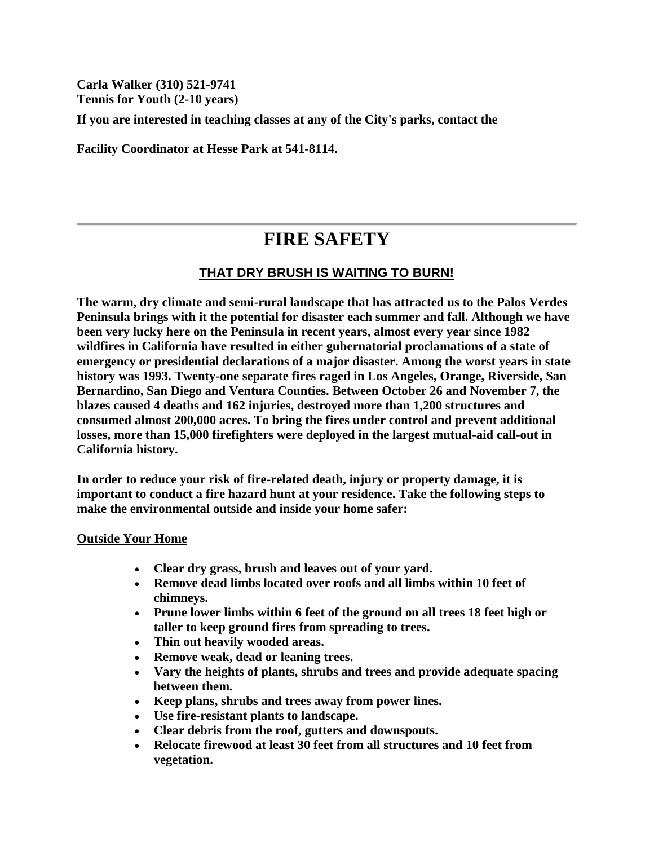**Carla Walker (310) 521-9741 Tennis for Youth (2-10 years)**

**If you are interested in teaching classes at any of the City's parks, contact the**

**Facility Coordinator at Hesse Park at 541-8114.**

# **FIRE SAFETY**

### **THAT DRY BRUSH IS WAITING TO BURN!**

**The warm, dry climate and semi-rural landscape that has attracted us to the Palos Verdes Peninsula brings with it the potential for disaster each summer and fall. Although we have been very lucky here on the Peninsula in recent years, almost every year since 1982 wildfires in California have resulted in either gubernatorial proclamations of a state of emergency or presidential declarations of a major disaster. Among the worst years in state history was 1993. Twenty-one separate fires raged in Los Angeles, Orange, Riverside, San Bernardino, San Diego and Ventura Counties. Between October 26 and November 7, the blazes caused 4 deaths and 162 injuries, destroyed more than 1,200 structures and consumed almost 200,000 acres. To bring the fires under control and prevent additional losses, more than 15,000 firefighters were deployed in the largest mutual-aid call-out in California history.**

**In order to reduce your risk of fire-related death, injury or property damage, it is important to conduct a fire hazard hunt at your residence. Take the following steps to make the environmental outside and inside your home safer:**

#### **Outside Your Home**

- **Clear dry grass, brush and leaves out of your yard.**
- **Remove dead limbs located over roofs and all limbs within 10 feet of chimneys.**
- **Prune lower limbs within 6 feet of the ground on all trees 18 feet high or taller to keep ground fires from spreading to trees.**
- **Thin out heavily wooded areas.**
- **Remove weak, dead or leaning trees.**
- **Vary the heights of plants, shrubs and trees and provide adequate spacing between them.**
- **Keep plans, shrubs and trees away from power lines.**
- **Use fire-resistant plants to landscape.**
- **Clear debris from the roof, gutters and downspouts.**
- **Relocate firewood at least 30 feet from all structures and 10 feet from vegetation.**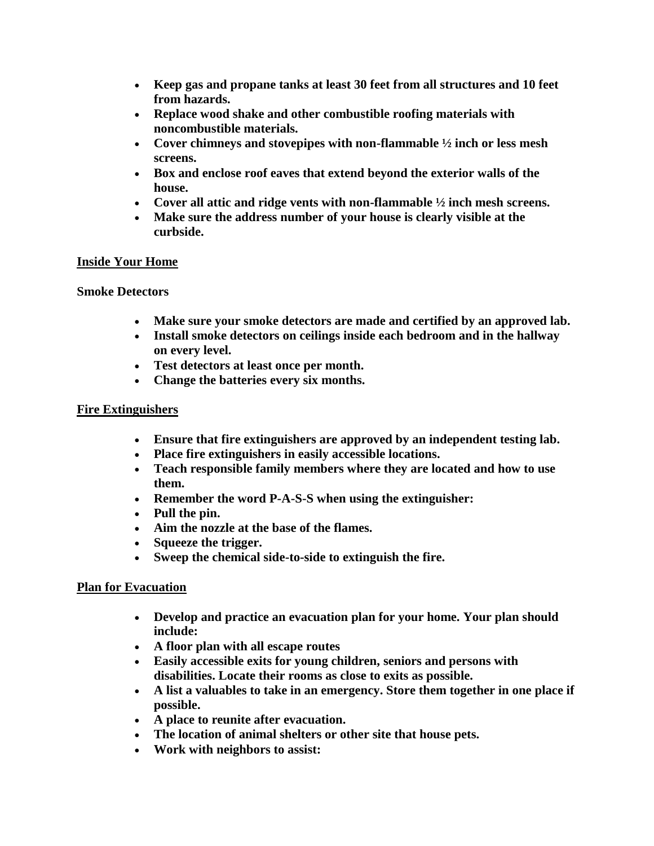- **Keep gas and propane tanks at least 30 feet from all structures and 10 feet from hazards.**
- **Replace wood shake and other combustible roofing materials with noncombustible materials.**
- **Cover chimneys and stovepipes with non-flammable ½ inch or less mesh screens.**
- **Box and enclose roof eaves that extend beyond the exterior walls of the house.**
- **Cover all attic and ridge vents with non-flammable ½ inch mesh screens.**
- **Make sure the address number of your house is clearly visible at the curbside.**

### **Inside Your Home**

### **Smoke Detectors**

- **Make sure your smoke detectors are made and certified by an approved lab.**
- **Install smoke detectors on ceilings inside each bedroom and in the hallway on every level.**
- **Test detectors at least once per month.**
- **Change the batteries every six months.**

### **Fire Extinguishers**

- **Ensure that fire extinguishers are approved by an independent testing lab.**
- **Place fire extinguishers in easily accessible locations.**
- **Teach responsible family members where they are located and how to use them.**
- **Remember the word P-A-S-S when using the extinguisher:**
- **Pull the pin.**
- **Aim the nozzle at the base of the flames.**
- **Squeeze the trigger.**
- **Sweep the chemical side-to-side to extinguish the fire.**

### **Plan for Evacuation**

- **Develop and practice an evacuation plan for your home. Your plan should include:**
- **A floor plan with all escape routes**
- **Easily accessible exits for young children, seniors and persons with disabilities. Locate their rooms as close to exits as possible.**
- **A list a valuables to take in an emergency. Store them together in one place if possible.**
- **A place to reunite after evacuation.**
- **The location of animal shelters or other site that house pets.**
- **Work with neighbors to assist:**